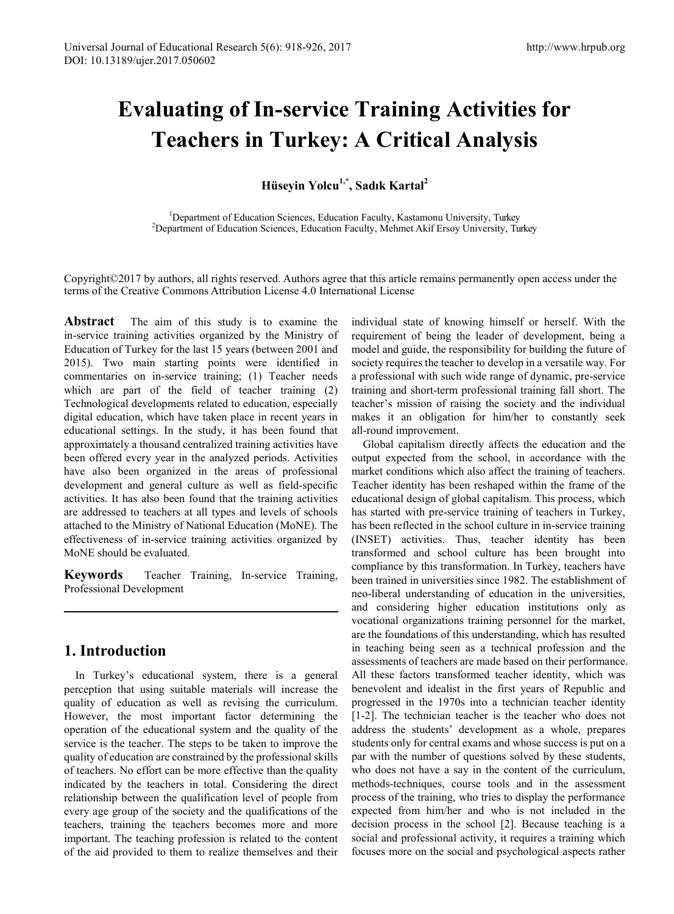# **Evaluating of In-service Training Activities for Teachers in Turkey: A Critical Analysis**

**Hüseyin Yolcu1,\*, Sadık Kartal<sup>2</sup>**

<sup>1</sup>Department of Education Sciences, Education Faculty, Kastamonu University, Turkey <sup>2</sup>Department of Education Sciences, Education Faculty, Mehmet Akif Ersoy University, Turkey

Copyright©2017 by authors, all rights reserved. Authors agree that this article remains permanently open access under the terms of the Creative Commons Attribution License 4.0 International License

**Abstract** The aim of this study is to examine the in-service training activities organized by the Ministry of Education of Turkey for the last 15 years (between 2001 and 2015). Two main starting points were identified in commentaries on in-service training; (1) Teacher needs which are part of the field of teacher training (2) Technological developments related to education, especially digital education, which have taken place in recent years in educational settings. In the study, it has been found that approximately a thousand centralized training activities have been offered every year in the analyzed periods. Activities have also been organized in the areas of professional development and general culture as well as field-specific activities. It has also been found that the training activities are addressed to teachers at all types and levels of schools attached to the Ministry of National Education (MoNE). The effectiveness of in-service training activities organized by MoNE should be evaluated.

**Keywords** Teacher Training, In-service Training, Professional Development

## **1. Introduction**

In Turkey's educational system, there is a general perception that using suitable materials will increase the quality of education as well as revising the curriculum. However, the most important factor determining the operation of the educational system and the quality of the service is the teacher. The steps to be taken to improve the quality of education are constrained by the professional skills of teachers. No effort can be more effective than the quality indicated by the teachers in total. Considering the direct relationship between the qualification level of people from every age group of the society and the qualifications of the teachers, training the teachers becomes more and more important. The teaching profession is related to the content of the aid provided to them to realize themselves and their individual state of knowing himself or herself. With the requirement of being the leader of development, being a model and guide, the responsibility for building the future of society requires the teacher to develop in a versatile way. For a professional with such wide range of dynamic, pre-service training and short-term professional training fall short. The teacher's mission of raising the society and the individual makes it an obligation for him/her to constantly seek all-round improvement.

Global capitalism directly affects the education and the output expected from the school, in accordance with the market conditions which also affect the training of teachers. Teacher identity has been reshaped within the frame of the educational design of global capitalism. This process, which has started with pre-service training of teachers in Turkey, has been reflected in the school culture in in-service training (INSET) activities. Thus, teacher identity has been transformed and school culture has been brought into compliance by this transformation. In Turkey, teachers have been trained in universities since 1982. The establishment of neo-liberal understanding of education in the universities, and considering higher education institutions only as vocational organizations training personnel for the market, are the foundations of this understanding, which has resulted in teaching being seen as a technical profession and the assessments of teachers are made based on their performance. All these factors transformed teacher identity, which was benevolent and idealist in the first years of Republic and progressed in the 1970s into a technician teacher identity [1-2]. The technician teacher is the teacher who does not address the students' development as a whole, prepares students only for central exams and whose success is put on a par with the number of questions solved by these students, who does not have a say in the content of the curriculum, methods-techniques, course tools and in the assessment process of the training, who tries to display the performance expected from him/her and who is not included in the decision process in the school [2]. Because teaching is a social and professional activity, it requires a training which focuses more on the social and psychological aspects rather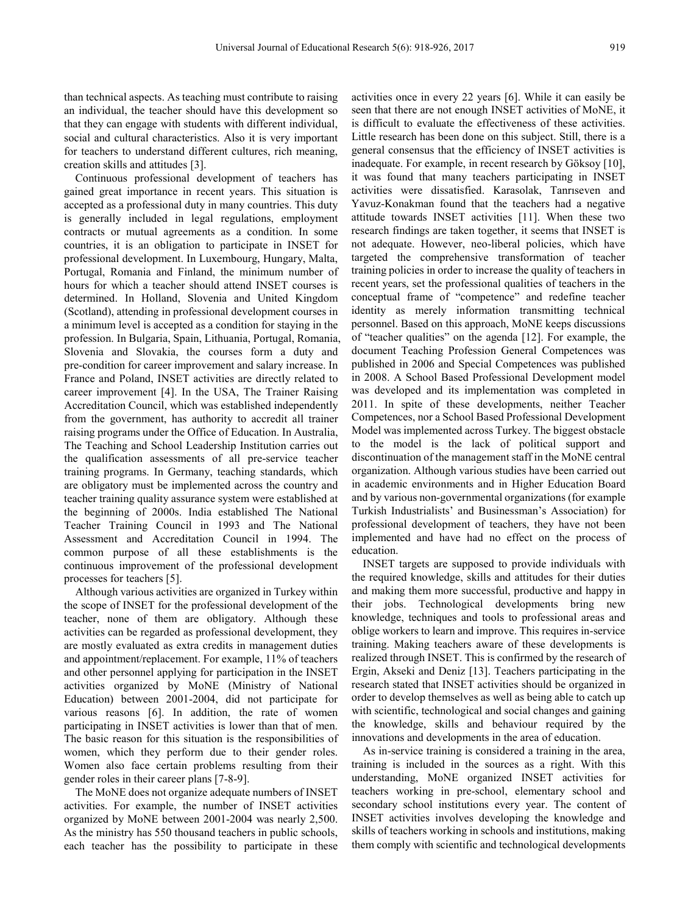than technical aspects. As teaching must contribute to raising an individual, the teacher should have this development so that they can engage with students with different individual, social and cultural characteristics. Also it is very important for teachers to understand different cultures, rich meaning, creation skills and attitudes [3].

Continuous professional development of teachers has gained great importance in recent years. This situation is accepted as a professional duty in many countries. This duty is generally included in legal regulations, employment contracts or mutual agreements as a condition. In some countries, it is an obligation to participate in INSET for professional development. In Luxembourg, Hungary, Malta, Portugal, Romania and Finland, the minimum number of hours for which a teacher should attend INSET courses is determined. In Holland, Slovenia and United Kingdom (Scotland), attending in professional development courses in a minimum level is accepted as a condition for staying in the profession. In Bulgaria, Spain, Lithuania, Portugal, Romania, Slovenia and Slovakia, the courses form a duty and pre-condition for career improvement and salary increase. In France and Poland, INSET activities are directly related to career improvement [4]. In the USA, The Trainer Raising Accreditation Council, which was established independently from the government, has authority to accredit all trainer raising programs under the Office of Education. In Australia, The Teaching and School Leadership Institution carries out the qualification assessments of all pre-service teacher training programs. In Germany, teaching standards, which are obligatory must be implemented across the country and teacher training quality assurance system were established at the beginning of 2000s. India established The National Teacher Training Council in 1993 and The National Assessment and Accreditation Council in 1994. The common purpose of all these establishments is the continuous improvement of the professional development processes for teachers [5].

Although various activities are organized in Turkey within the scope of INSET for the professional development of the teacher, none of them are obligatory. Although these activities can be regarded as professional development, they are mostly evaluated as extra credits in management duties and appointment/replacement. For example, 11% of teachers and other personnel applying for participation in the INSET activities organized by MoNE (Ministry of National Education) between 2001-2004, did not participate for various reasons [6]. In addition, the rate of women participating in INSET activities is lower than that of men. The basic reason for this situation is the responsibilities of women, which they perform due to their gender roles. Women also face certain problems resulting from their gender roles in their career plans [7-8-9].

The MoNE does not organize adequate numbers of INSET activities. For example, the number of INSET activities organized by MoNE between 2001-2004 was nearly 2,500. As the ministry has 550 thousand teachers in public schools, each teacher has the possibility to participate in these activities once in every 22 years [6]. While it can easily be seen that there are not enough INSET activities of MoNE, it is difficult to evaluate the effectiveness of these activities. Little research has been done on this subject. Still, there is a general consensus that the efficiency of INSET activities is inadequate. For example, in recent research by Göksoy [10], it was found that many teachers participating in INSET activities were dissatisfied. Karasolak, Tanrıseven and Yavuz-Konakman found that the teachers had a negative attitude towards INSET activities [11]. When these two research findings are taken together, it seems that INSET is not adequate. However, neo-liberal policies, which have targeted the comprehensive transformation of teacher training policies in order to increase the quality of teachers in recent years, set the professional qualities of teachers in the conceptual frame of "competence" and redefine teacher identity as merely information transmitting technical personnel. Based on this approach, MoNE keeps discussions of "teacher qualities" on the agenda [12]. For example, the document Teaching Profession General Competences was published in 2006 and Special Competences was published in 2008. A School Based Professional Development model was developed and its implementation was completed in 2011. In spite of these developments, neither Teacher Competences, nor a School Based Professional Development Model was implemented across Turkey. The biggest obstacle to the model is the lack of political support and discontinuation of the management staff in the MoNE central organization. Although various studies have been carried out in academic environments and in Higher Education Board and by various non-governmental organizations (for example Turkish Industrialists' and Businessman's Association) for professional development of teachers, they have not been implemented and have had no effect on the process of education.

INSET targets are supposed to provide individuals with the required knowledge, skills and attitudes for their duties and making them more successful, productive and happy in their jobs. Technological developments bring new knowledge, techniques and tools to professional areas and oblige workers to learn and improve. This requires in-service training. Making teachers aware of these developments is realized through INSET. This is confirmed by the research of Ergin, Akseki and Deniz [13]. Teachers participating in the research stated that INSET activities should be organized in order to develop themselves as well as being able to catch up with scientific, technological and social changes and gaining the knowledge, skills and behaviour required by the innovations and developments in the area of education.

As in-service training is considered a training in the area, training is included in the sources as a right. With this understanding, MoNE organized INSET activities for teachers working in pre-school, elementary school and secondary school institutions every year. The content of INSET activities involves developing the knowledge and skills of teachers working in schools and institutions, making them comply with scientific and technological developments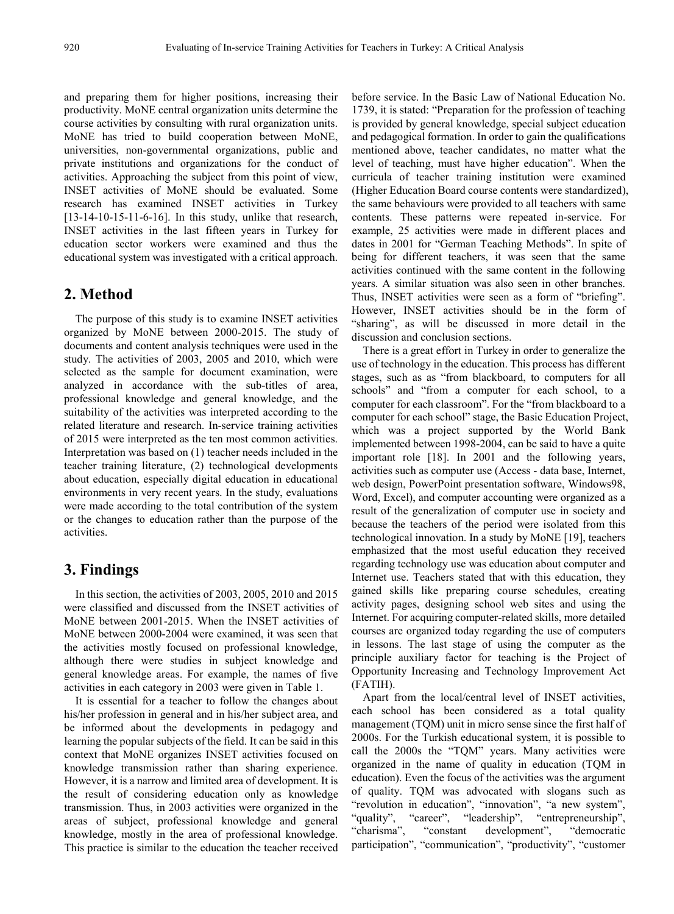and preparing them for higher positions, increasing their productivity. MoNE central organization units determine the course activities by consulting with rural organization units. MoNE has tried to build cooperation between MoNE, universities, non-governmental organizations, public and private institutions and organizations for the conduct of activities. Approaching the subject from this point of view, INSET activities of MoNE should be evaluated. Some research has examined INSET activities in Turkey [13-14-10-15-11-6-16]. In this study, unlike that research, INSET activities in the last fifteen years in Turkey for education sector workers were examined and thus the educational system was investigated with a critical approach.

### **2. Method**

The purpose of this study is to examine INSET activities organized by MoNE between 2000-2015. The study of documents and content analysis techniques were used in the study. The activities of 2003, 2005 and 2010, which were selected as the sample for document examination, were analyzed in accordance with the sub-titles of area, professional knowledge and general knowledge, and the suitability of the activities was interpreted according to the related literature and research. In-service training activities of 2015 were interpreted as the ten most common activities. Interpretation was based on (1) teacher needs included in the teacher training literature, (2) technological developments about education, especially digital education in educational environments in very recent years. In the study, evaluations were made according to the total contribution of the system or the changes to education rather than the purpose of the activities.

### **3. Findings**

In this section, the activities of 2003, 2005, 2010 and 2015 were classified and discussed from the INSET activities of MoNE between 2001-2015. When the INSET activities of MoNE between 2000-2004 were examined, it was seen that the activities mostly focused on professional knowledge, although there were studies in subject knowledge and general knowledge areas. For example, the names of five activities in each category in 2003 were given in Table 1.

It is essential for a teacher to follow the changes about his/her profession in general and in his/her subject area, and be informed about the developments in pedagogy and learning the popular subjects of the field. It can be said in this context that MoNE organizes INSET activities focused on knowledge transmission rather than sharing experience. However, it is a narrow and limited area of development. It is the result of considering education only as knowledge transmission. Thus, in 2003 activities were organized in the areas of subject, professional knowledge and general knowledge, mostly in the area of professional knowledge. This practice is similar to the education the teacher received

before service. In the Basic Law of National Education No. 1739, it is stated: "Preparation for the profession of teaching is provided by general knowledge, special subject education and pedagogical formation. In order to gain the qualifications mentioned above, teacher candidates, no matter what the level of teaching, must have higher education". When the curricula of teacher training institution were examined (Higher Education Board course contents were standardized), the same behaviours were provided to all teachers with same contents. These patterns were repeated in-service. For example, 25 activities were made in different places and dates in 2001 for "German Teaching Methods". In spite of being for different teachers, it was seen that the same activities continued with the same content in the following years. A similar situation was also seen in other branches. Thus, INSET activities were seen as a form of "briefing". However, INSET activities should be in the form of "sharing", as will be discussed in more detail in the discussion and conclusion sections.

There is a great effort in Turkey in order to generalize the use of technology in the education. This process has different stages, such as as "from blackboard, to computers for all schools" and "from a computer for each school, to a computer for each classroom". For the "from blackboard to a computer for each school" stage, the Basic Education Project, which was a project supported by the World Bank implemented between 1998-2004, can be said to have a quite important role [18]. In 2001 and the following years, activities such as computer use (Access - data base, Internet, web design, PowerPoint presentation software, Windows98, Word, Excel), and computer accounting were organized as a result of the generalization of computer use in society and because the teachers of the period were isolated from this technological innovation. In a study by MoNE [19], teachers emphasized that the most useful education they received regarding technology use was education about computer and Internet use. Teachers stated that with this education, they gained skills like preparing course schedules, creating activity pages, designing school web sites and using the Internet. For acquiring computer-related skills, more detailed courses are organized today regarding the use of computers in lessons. The last stage of using the computer as the principle auxiliary factor for teaching is the Project of Opportunity Increasing and Technology Improvement Act (FATIH).

Apart from the local/central level of INSET activities, each school has been considered as a total quality management (TQM) unit in micro sense since the first half of 2000s. For the Turkish educational system, it is possible to call the 2000s the "TQM" years. Many activities were organized in the name of quality in education (TQM in education). Even the focus of the activities was the argument of quality. TQM was advocated with slogans such as "revolution in education", "innovation", "a new system", "quality", "career", "leadership", "entrepreneurship", "charisma", "constant development", "democratic participation", "communication", "productivity", "customer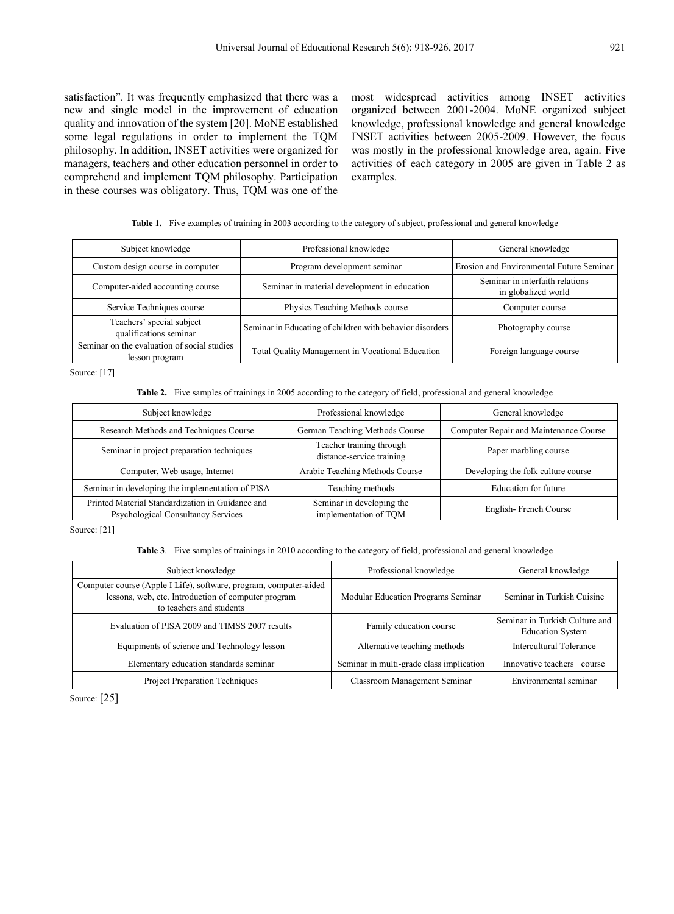satisfaction". It was frequently emphasized that there was a new and single model in the improvement of education quality and innovation of the system [20]. MoNE established some legal regulations in order to implement the TQM philosophy. In addition, INSET activities were organized for managers, teachers and other education personnel in order to comprehend and implement TQM philosophy. Participation in these courses was obligatory. Thus, TQM was one of the most widespread activities among INSET activities organized between 2001-2004. MoNE organized subject knowledge, professional knowledge and general knowledge INSET activities between 2005-2009. However, the focus was mostly in the professional knowledge area, again. Five activities of each category in 2005 are given in Table 2 as examples.

**Table 1.** Five examples of training in 2003 according to the category of subject, professional and general knowledge

| Subject knowledge                                             | Professional knowledge                                   | General knowledge                                      |
|---------------------------------------------------------------|----------------------------------------------------------|--------------------------------------------------------|
| Custom design course in computer                              | Program development seminar                              | Erosion and Environmental Future Seminar               |
| Computer-aided accounting course                              | Seminar in material development in education             | Seminar in interfaith relations<br>in globalized world |
| Service Techniques course                                     | Physics Teaching Methods course                          | Computer course                                        |
| Teachers' special subject<br>qualifications seminar           | Seminar in Educating of children with behavior disorders | Photography course                                     |
| Seminar on the evaluation of social studies<br>lesson program | Total Quality Management in Vocational Education         | Foreign language course                                |

Source: [17]

**Table 2.** Five samples of trainings in 2005 according to the category of field, professional and general knowledge

| Subject knowledge                                                                      | Professional knowledge                                | General knowledge                      |  |
|----------------------------------------------------------------------------------------|-------------------------------------------------------|----------------------------------------|--|
| Research Methods and Techniques Course                                                 | German Teaching Methods Course                        | Computer Repair and Maintenance Course |  |
| Seminar in project preparation techniques                                              | Teacher training through<br>distance-service training | Paper marbling course                  |  |
| Computer, Web usage, Internet                                                          | Arabic Teaching Methods Course                        | Developing the folk culture course     |  |
| Seminar in developing the implementation of PISA                                       | Teaching methods                                      | Education for future                   |  |
| Printed Material Standardization in Guidance and<br>Psychological Consultancy Services | Seminar in developing the<br>implementation of TOM    | English-French Course                  |  |

Source: [21]

**Table 3**. Five samples of trainings in 2010 according to the category of field, professional and general knowledge

| Subject knowledge                                                                                                                                    | Professional knowledge                   | General knowledge                                         |
|------------------------------------------------------------------------------------------------------------------------------------------------------|------------------------------------------|-----------------------------------------------------------|
| Computer course (Apple I Life), software, program, computer-aided<br>lessons, web, etc. Introduction of computer program<br>to teachers and students | Modular Education Programs Seminar       | Seminar in Turkish Cuisine                                |
| Evaluation of PISA 2009 and TIMSS 2007 results                                                                                                       | Family education course                  | Seminar in Turkish Culture and<br><b>Education System</b> |
| Equipments of science and Technology lesson                                                                                                          | Alternative teaching methods             | Intercultural Tolerance                                   |
| Elementary education standards seminar                                                                                                               | Seminar in multi-grade class implication | Innovative teachers<br>course                             |
| <b>Project Preparation Techniques</b>                                                                                                                | Classroom Management Seminar             | Environmental seminar                                     |

Source: [25]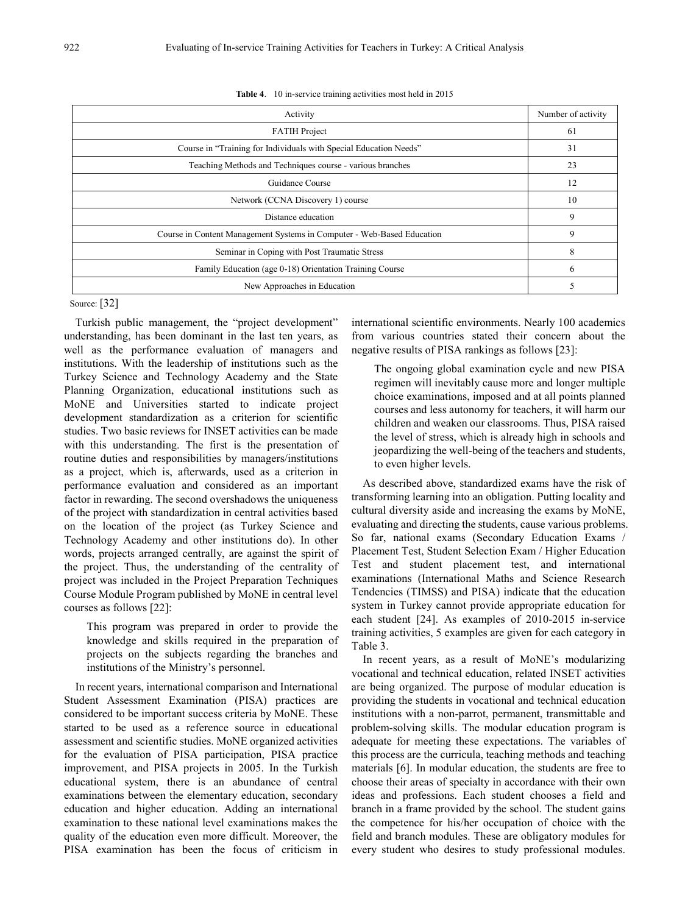| Activity                                                               | Number of activity |
|------------------------------------------------------------------------|--------------------|
| <b>FATIH</b> Project                                                   | -61                |
| Course in "Training for Individuals with Special Education Needs"      | 31                 |
| Teaching Methods and Techniques course - various branches              | 23                 |
| Guidance Course                                                        | 12                 |
| Network (CCNA Discovery 1) course                                      | 10                 |
| Distance education                                                     | 9                  |
| Course in Content Management Systems in Computer - Web-Based Education | 9                  |
| Seminar in Coping with Post Traumatic Stress                           | 8                  |
| Family Education (age 0-18) Orientation Training Course                | 6                  |
| New Approaches in Education                                            | 5                  |

**Table 4**. 10 in-service training activities most held in 2015

Source: [32]

Turkish public management, the "project development" understanding, has been dominant in the last ten years, as well as the performance evaluation of managers and institutions. With the leadership of institutions such as the Turkey Science and Technology Academy and the State Planning Organization, educational institutions such as MoNE and Universities started to indicate project development standardization as a criterion for scientific studies. Two basic reviews for INSET activities can be made with this understanding. The first is the presentation of routine duties and responsibilities by managers/institutions as a project, which is, afterwards, used as a criterion in performance evaluation and considered as an important factor in rewarding. The second overshadows the uniqueness of the project with standardization in central activities based on the location of the project (as Turkey Science and Technology Academy and other institutions do). In other words, projects arranged centrally, are against the spirit of the project. Thus, the understanding of the centrality of project was included in the Project Preparation Techniques Course Module Program published by MoNE in central level courses as follows [22]:

This program was prepared in order to provide the knowledge and skills required in the preparation of projects on the subjects regarding the branches and institutions of the Ministry's personnel.

In recent years, international comparison and International Student Assessment Examination (PISA) practices are considered to be important success criteria by MoNE. These started to be used as a reference source in educational assessment and scientific studies. MoNE organized activities for the evaluation of PISA participation, PISA practice improvement, and PISA projects in 2005. In the Turkish educational system, there is an abundance of central examinations between the elementary education, secondary education and higher education. Adding an international examination to these national level examinations makes the quality of the education even more difficult. Moreover, the PISA examination has been the focus of criticism in

international scientific environments. Nearly 100 academics from various countries stated their concern about the negative results of PISA rankings as follows [23]:

The ongoing global examination cycle and new PISA regimen will inevitably cause more and longer multiple choice examinations, imposed and at all points planned courses and less autonomy for teachers, it will harm our children and weaken our classrooms. Thus, PISA raised the level of stress, which is already high in schools and jeopardizing the well-being of the teachers and students, to even higher levels.

As described above, standardized exams have the risk of transforming learning into an obligation. Putting locality and cultural diversity aside and increasing the exams by MoNE, evaluating and directing the students, cause various problems. So far, national exams (Secondary Education Exams / Placement Test, Student Selection Exam / Higher Education Test and student placement test, and international examinations (International Maths and Science Research Tendencies (TIMSS) and PISA) indicate that the education system in Turkey cannot provide appropriate education for each student [24]. As examples of 2010-2015 in-service training activities, 5 examples are given for each category in Table 3.

In recent years, as a result of MoNE's modularizing vocational and technical education, related INSET activities are being organized. The purpose of modular education is providing the students in vocational and technical education institutions with a non-parrot, permanent, transmittable and problem-solving skills. The modular education program is adequate for meeting these expectations. The variables of this process are the curricula, teaching methods and teaching materials [6]. In modular education, the students are free to choose their areas of specialty in accordance with their own ideas and professions. Each student chooses a field and branch in a frame provided by the school. The student gains the competence for his/her occupation of choice with the field and branch modules. These are obligatory modules for every student who desires to study professional modules.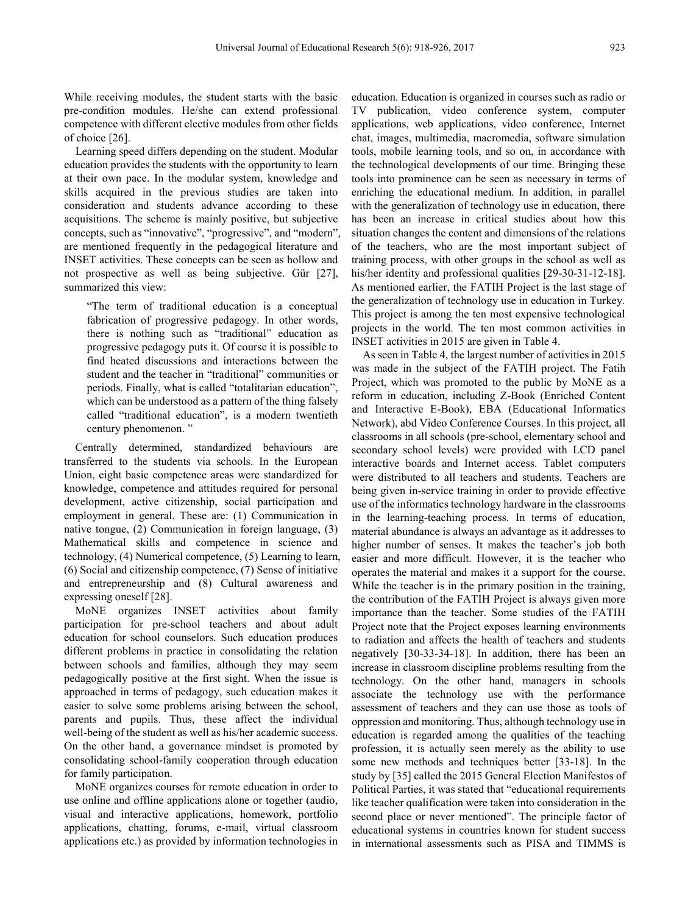While receiving modules, the student starts with the basic pre-condition modules. He/she can extend professional competence with different elective modules from other fields of choice [26].

Learning speed differs depending on the student. Modular education provides the students with the opportunity to learn at their own pace. In the modular system, knowledge and skills acquired in the previous studies are taken into consideration and students advance according to these acquisitions. The scheme is mainly positive, but subjective concepts, such as "innovative", "progressive", and "modern", are mentioned frequently in the pedagogical literature and INSET activities. These concepts can be seen as hollow and not prospective as well as being subjective. Gür [27], summarized this view:

"The term of traditional education is a conceptual fabrication of progressive pedagogy. In other words, there is nothing such as "traditional" education as progressive pedagogy puts it. Of course it is possible to find heated discussions and interactions between the student and the teacher in "traditional" communities or periods. Finally, what is called "totalitarian education", which can be understood as a pattern of the thing falsely called "traditional education", is a modern twentieth century phenomenon. "

Centrally determined, standardized behaviours are transferred to the students via schools. In the European Union, eight basic competence areas were standardized for knowledge, competence and attitudes required for personal development, active citizenship, social participation and employment in general. These are: (1) Communication in native tongue, (2) Communication in foreign language, (3) Mathematical skills and competence in science and technology, (4) Numerical competence, (5) Learning to learn, (6) Social and citizenship competence, (7) Sense of initiative and entrepreneurship and (8) Cultural awareness and expressing oneself [28].

MoNE organizes INSET activities about family participation for pre-school teachers and about adult education for school counselors. Such education produces different problems in practice in consolidating the relation between schools and families, although they may seem pedagogically positive at the first sight. When the issue is approached in terms of pedagogy, such education makes it easier to solve some problems arising between the school, parents and pupils. Thus, these affect the individual well-being of the student as well as his/her academic success. On the other hand, a governance mindset is promoted by consolidating school-family cooperation through education for family participation.

MoNE organizes courses for remote education in order to use online and offline applications alone or together (audio, visual and interactive applications, homework, portfolio applications, chatting, forums, e-mail, virtual classroom applications etc.) as provided by information technologies in education. Education is organized in courses such as radio or TV publication, video conference system, computer applications, web applications, video conference, Internet chat, images, multimedia, macromedia, software simulation tools, mobile learning tools, and so on, in accordance with the technological developments of our time. Bringing these tools into prominence can be seen as necessary in terms of enriching the educational medium. In addition, in parallel with the generalization of technology use in education, there has been an increase in critical studies about how this situation changes the content and dimensions of the relations of the teachers, who are the most important subject of training process, with other groups in the school as well as his/her identity and professional qualities [29-30-31-12-18]. As mentioned earlier, the FATIH Project is the last stage of the generalization of technology use in education in Turkey. This project is among the ten most expensive technological projects in the world. The ten most common activities in INSET activities in 2015 are given in Table 4.

As seen in Table 4, the largest number of activities in 2015 was made in the subject of the FATIH project. The Fatih Project, which was promoted to the public by MoNE as a reform in education, including Z-Book (Enriched Content and Interactive E-Book), EBA (Educational Informatics Network), abd Video Conference Courses. In this project, all classrooms in all schools (pre-school, elementary school and secondary school levels) were provided with LCD panel interactive boards and Internet access. Tablet computers were distributed to all teachers and students. Teachers are being given in-service training in order to provide effective use of the informatics technology hardware in the classrooms in the learning-teaching process. In terms of education, material abundance is always an advantage as it addresses to higher number of senses. It makes the teacher's job both easier and more difficult. However, it is the teacher who operates the material and makes it a support for the course. While the teacher is in the primary position in the training, the contribution of the FATIH Project is always given more importance than the teacher. Some studies of the FATIH Project note that the Project exposes learning environments to radiation and affects the health of teachers and students negatively [30-33-34-18]. In addition, there has been an increase in classroom discipline problems resulting from the technology. On the other hand, managers in schools associate the technology use with the performance assessment of teachers and they can use those as tools of oppression and monitoring. Thus, although technology use in education is regarded among the qualities of the teaching profession, it is actually seen merely as the ability to use some new methods and techniques better [33-18]. In the study by [35] called the 2015 General Election Manifestos of Political Parties, it was stated that "educational requirements like teacher qualification were taken into consideration in the second place or never mentioned". The principle factor of educational systems in countries known for student success in international assessments such as PISA and TIMMS is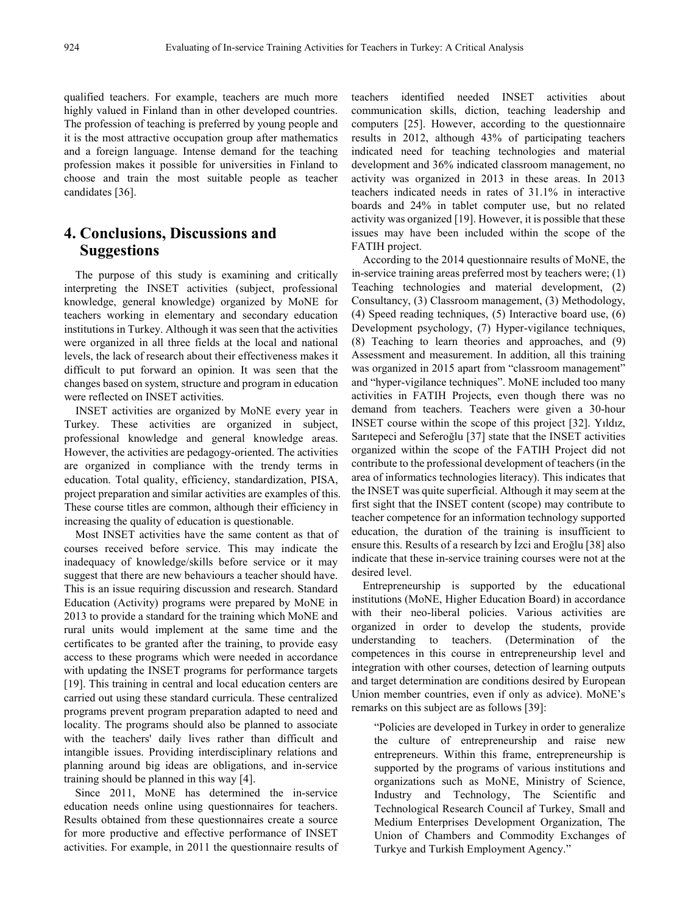qualified teachers. For example, teachers are much more highly valued in Finland than in other developed countries. The profession of teaching is preferred by young people and it is the most attractive occupation group after mathematics and a foreign language. Intense demand for the teaching profession makes it possible for universities in Finland to choose and train the most suitable people as teacher candidates [36].

## **4. Conclusions, Discussions and Suggestions**

The purpose of this study is examining and critically interpreting the INSET activities (subject, professional knowledge, general knowledge) organized by MoNE for teachers working in elementary and secondary education institutions in Turkey. Although it was seen that the activities were organized in all three fields at the local and national levels, the lack of research about their effectiveness makes it difficult to put forward an opinion. It was seen that the changes based on system, structure and program in education were reflected on INSET activities.

INSET activities are organized by MoNE every year in Turkey. These activities are organized in subject, professional knowledge and general knowledge areas. However, the activities are pedagogy-oriented. The activities are organized in compliance with the trendy terms in education. Total quality, efficiency, standardization, PISA, project preparation and similar activities are examples of this. These course titles are common, although their efficiency in increasing the quality of education is questionable.

Most INSET activities have the same content as that of courses received before service. This may indicate the inadequacy of knowledge/skills before service or it may suggest that there are new behaviours a teacher should have. This is an issue requiring discussion and research. Standard Education (Activity) programs were prepared by MoNE in 2013 to provide a standard for the training which MoNE and rural units would implement at the same time and the certificates to be granted after the training, to provide easy access to these programs which were needed in accordance with updating the INSET programs for performance targets [19]. This training in central and local education centers are carried out using these standard curricula. These centralized programs prevent program preparation adapted to need and locality. The programs should also be planned to associate with the teachers' daily lives rather than difficult and intangible issues. Providing interdisciplinary relations and planning around big ideas are obligations, and in-service training should be planned in this way [4].

Since 2011, MoNE has determined the in-service education needs online using questionnaires for teachers. Results obtained from these questionnaires create a source for more productive and effective performance of INSET activities. For example, in 2011 the questionnaire results of teachers identified needed INSET activities about communication skills, diction, teaching leadership and computers [25]. However, according to the questionnaire results in 2012, although 43% of participating teachers indicated need for teaching technologies and material development and 36% indicated classroom management, no activity was organized in 2013 in these areas. In 2013 teachers indicated needs in rates of 31.1% in interactive boards and 24% in tablet computer use, but no related activity was organized [19]. However, it is possible that these issues may have been included within the scope of the FATIH project.

According to the 2014 questionnaire results of MoNE, the in-service training areas preferred most by teachers were; (1) Teaching technologies and material development, (2) Consultancy, (3) Classroom management, (3) Methodology, (4) Speed reading techniques, (5) Interactive board use, (6) Development psychology, (7) Hyper-vigilance techniques, (8) Teaching to learn theories and approaches, and (9) Assessment and measurement. In addition, all this training was organized in 2015 apart from "classroom management" and "hyper-vigilance techniques". MoNE included too many activities in FATIH Projects, even though there was no demand from teachers. Teachers were given a 30-hour INSET course within the scope of this project [32]. Yıldız, Sarıtepeci and Seferoğlu [37] state that the INSET activities organized within the scope of the FATIH Project did not contribute to the professional development of teachers (in the area of informatics technologies literacy). This indicates that the INSET was quite superficial. Although it may seem at the first sight that the INSET content (scope) may contribute to teacher competence for an information technology supported education, the duration of the training is insufficient to ensure this. Results of a research by İzci and Eroğlu [38] also indicate that these in-service training courses were not at the desired level.

Entrepreneurship is supported by the educational institutions (MoNE, Higher Education Board) in accordance with their neo-liberal policies. Various activities are organized in order to develop the students, provide understanding to teachers. (Determination of the competences in this course in entrepreneurship level and integration with other courses, detection of learning outputs and target determination are conditions desired by European Union member countries, even if only as advice). MoNE's remarks on this subject are as follows [39]:

"Policies are developed in Turkey in order to generalize the culture of entrepreneurship and raise new entrepreneurs. Within this frame, entrepreneurship is supported by the programs of various institutions and organizations such as MoNE, Ministry of Science, Industry and Technology, The Scientific and Technological Research Council af Turkey, Small and Medium Enterprises Development Organization, The Union of Chambers and Commodity Exchanges of Turkye and Turkish Employment Agency."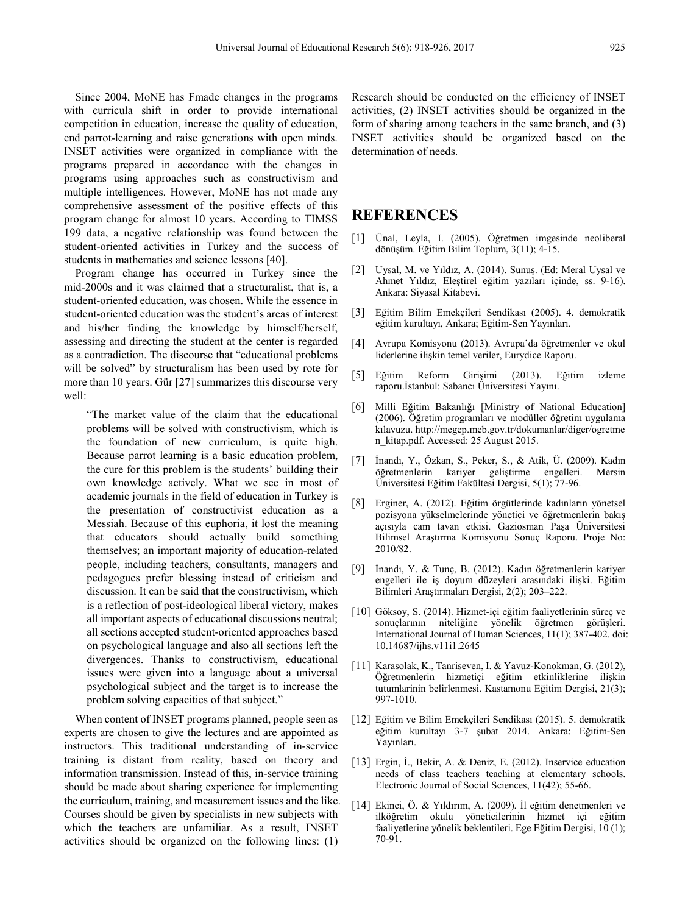Since 2004, MoNE has Fmade changes in the programs with curricula shift in order to provide international competition in education, increase the quality of education, end parrot-learning and raise generations with open minds. INSET activities were organized in compliance with the programs prepared in accordance with the changes in programs using approaches such as constructivism and multiple intelligences. However, MoNE has not made any comprehensive assessment of the positive effects of this program change for almost 10 years. According to TIMSS 199 data, a negative relationship was found between the student-oriented activities in Turkey and the success of students in mathematics and science lessons [40].

Program change has occurred in Turkey since the mid-2000s and it was claimed that a structuralist, that is, a student-oriented education, was chosen. While the essence in student-oriented education was the student's areas of interest and his/her finding the knowledge by himself/herself, assessing and directing the student at the center is regarded as a contradiction. The discourse that "educational problems will be solved" by structuralism has been used by rote for more than 10 years. Gür [27] summarizes this discourse very well:

"The market value of the claim that the educational problems will be solved with constructivism, which is the foundation of new curriculum, is quite high. Because parrot learning is a basic education problem, the cure for this problem is the students' building their own knowledge actively. What we see in most of academic journals in the field of education in Turkey is the presentation of constructivist education as a Messiah. Because of this euphoria, it lost the meaning that educators should actually build something themselves; an important majority of education-related people, including teachers, consultants, managers and pedagogues prefer blessing instead of criticism and discussion. It can be said that the constructivism, which is a reflection of post-ideological liberal victory, makes all important aspects of educational discussions neutral; all sections accepted student-oriented approaches based on psychological language and also all sections left the divergences. Thanks to constructivism, educational issues were given into a language about a universal psychological subject and the target is to increase the problem solving capacities of that subject."

When content of INSET programs planned, people seen as experts are chosen to give the lectures and are appointed as instructors. This traditional understanding of in-service training is distant from reality, based on theory and information transmission. Instead of this, in-service training should be made about sharing experience for implementing the curriculum, training, and measurement issues and the like. Courses should be given by specialists in new subjects with which the teachers are unfamiliar. As a result, INSET activities should be organized on the following lines: (1)

Research should be conducted on the efficiency of INSET activities, (2) INSET activities should be organized in the form of sharing among teachers in the same branch, and (3) INSET activities should be organized based on the determination of needs.

#### **REFERENCES**

- [1] Ünal, Leyla, I. (2005). Öğretmen imgesinde neoliberal dönüşüm. Eğitim Bilim Toplum, 3(11); 4-15.
- [2] Uysal, M. ve Yıldız, A. (2014). Sunuş. (Ed: Meral Uysal ve Ahmet Yıldız, Eleştirel eğitim yazıları içinde, ss. 9-16). Ankara: Siyasal Kitabevi.
- [3] Eğitim Bilim Emekçileri Sendikası (2005). 4. demokratik eğitim kurultayı, Ankara; Eğitim-Sen Yayınları.
- [4] Avrupa Komisyonu (2013). Avrupa'da öğretmenler ve okul liderlerine ilişkin temel veriler, Eurydice Raporu.
- [5] Eğitim Reform Girişimi (2013). Eğitim izleme raporu.İstanbul: Sabancı Üniversitesi Yayını.
- [6] Milli Eğitim Bakanlığı [Ministry of National Education] (2006). Öğretim programları ve modüller öğretim uygulama kılavuzu. http://megep.meb.gov.tr/dokumanlar/diger/ogretme n\_kitap.pdf. Accessed: 25 August 2015.
- [7] İnandı, Y., Özkan, S., Peker, S., & Atik, Ü. (2009). Kadın öğretmenlerin kariyer geliştirme engelleri. Mersin Üniversitesi Eğitim Fakültesi Dergisi, 5(1); 77-96.
- [8] Erginer, A. (2012). Eğitim örgütlerinde kadınların yönetsel pozisyona yükselmelerinde yönetici ve öğretmenlerin bakış açısıyla cam tavan etkisi. Gaziosman Paşa Üniversitesi Bilimsel Araştırma Komisyonu Sonuç Raporu. Proje No: 2010/82.
- [9] İnandı, Y. & Tunç, B. (2012). Kadın öğretmenlerin kariyer engelleri ile iş doyum düzeyleri arasındaki ilişki. Eğitim Bilimleri Araştırmaları Dergisi, 2(2); 203–222.
- [10] Göksoy, S. (2014). Hizmet-içi eğitim faaliyetlerinin süreç ve sonuçlarının niteliğine yönelik öğretmen görüşleri. International Journal of Human Sciences, 11(1); 387-402. doi: 10.14687/ijhs.v11i1.2645
- [11] Karasolak, K., Tanriseven, I. & Yavuz-Konokman, G. (2012), Öğretmenlerin hizmetiçi eğitim etkinliklerine ilişkin tutumlarinin belirlenmesi. Kastamonu Eğitim Dergisi, 21(3); 997-1010.
- [12] Eğitim ve Bilim Emekçileri Sendikası (2015). 5. demokratik eğitim kurultayı 3-7 şubat 2014. Ankara: Eğitim-Sen Yayınları.
- [13] Ergin, İ., Bekir, A. & Deniz, E. (2012). Inservice education needs of class teachers teaching at elementary schools. Electronic Journal of Social Sciences, 11(42); 55-66.
- [14] Ekinci, Ö. & Yıldırım, A. (2009). İl eğitim denetmenleri ve ilköğretim okulu yöneticilerinin hizmet içi eğitim faaliyetlerine yönelik beklentileri. Ege Eğitim Dergisi, 10 (1); 70-91.